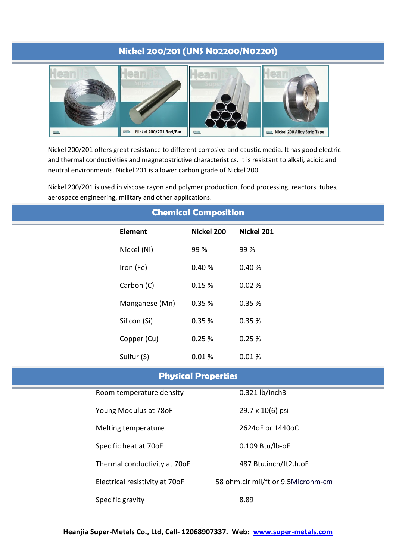# **Nickel 200/201 (UNS N02200/N02201)**



Nickel 200/201 offers great resistance to different corrosive and caustic media. It has good electric and thermal conductivities and magnetostrictive characteristics. It is resistant to alkali, acidic and neutral environments. Nickel 201 is a lower carbon grade of Nickel 200.

Nickel 200/201 is used in viscose rayon and polymer production, food processing, reactors, tubes, aerospace engineering, military and other applications.

| <b>Chemical Composition</b> |                                |            |                                    |  |
|-----------------------------|--------------------------------|------------|------------------------------------|--|
| <b>Element</b>              | Nickel 200                     | Nickel 201 |                                    |  |
| Nickel (Ni)                 | 99 %                           | 99 %       |                                    |  |
| Iron (Fe)                   | 0.40%                          | 0.40%      |                                    |  |
| Carbon (C)                  | 0.15 %                         | 0.02%      |                                    |  |
| Manganese (Mn)              | 0.35 %                         | 0.35 %     |                                    |  |
| Silicon (Si)                | 0.35 %                         | 0.35 %     |                                    |  |
| Copper (Cu)                 | 0.25%                          | 0.25%      |                                    |  |
| Sulfur (S)                  | 0.01%                          | 0.01%      |                                    |  |
| <b>Physical Properties</b>  |                                |            |                                    |  |
|                             | Room temperature density       |            |                                    |  |
|                             | Young Modulus at 78oF          |            |                                    |  |
|                             | Melting temperature            |            | 2624oF or 1440oC                   |  |
|                             | Specific heat at 70oF          |            |                                    |  |
|                             | Thermal conductivity at 70oF   |            | 487 Btu.inch/ft2.h.oF              |  |
|                             | Electrical resistivity at 70oF |            | 58 ohm.cir mil/ft or 9.5Microhm-cm |  |
| Specific gravity            |                                |            |                                    |  |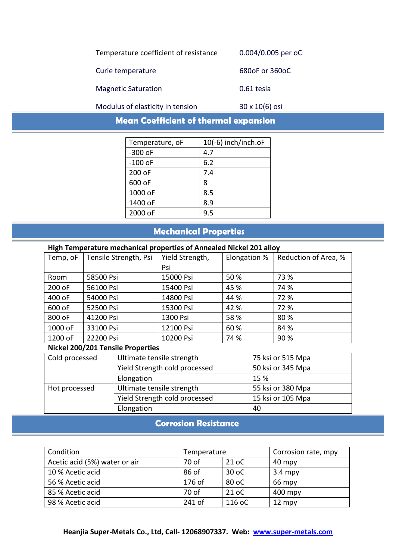| Temperature coefficient of resistance | 0.004/0.005 per oC |
|---------------------------------------|--------------------|
| Curie temperature                     | 680oF or 360oC     |
| <b>Magnetic Saturation</b>            | 0.61 tesla         |

Modulus of elasticity in tension 30 x 10(6) osi

**Mean Coefficient of thermal expansion**

| Temperature, oF | 10(-6) inch/inch.oF |
|-----------------|---------------------|
| $-300$ oF       | 4.7                 |
| $-100$ oF       | 6.2                 |
| 200 oF          | 7.4                 |
| 600 oF          | 8                   |
| 1000 oF         | 8.5                 |
| 1400 oF         | 8.9                 |
| 2000 oF         | 9.5                 |

# **Mechanical Properties**

### **High Temperature mechanical properties of Annealed Nickel 201 alloy**

| -        |                       |                 |              |                      |
|----------|-----------------------|-----------------|--------------|----------------------|
| Temp, oF | Tensile Strength, Psi | Yield Strength, | Elongation % | Reduction of Area, % |
|          |                       | Psi             |              |                      |
| Room     | 58500 Psi             | 15000 Psi       | 50 %         | 73 %                 |
| 200 oF   | 56100 Psi             | 15400 Psi       | 45 %         | 74 %                 |
| 400 oF   | 54000 Psi             | 14800 Psi       | 44 %         | 72 %                 |
| 600 oF   | 52500 Psi             | 15300 Psi       | 42 %         | 72 %                 |
| 800 oF   | 41200 Psi             | 1300 Psi        | 58 %         | 80%                  |
| 1000 oF  | 33100 Psi             | 12100 Psi       | 60 %         | 84 %                 |
| 1200 oF  | 22200 Psi             | 10200 Psi       | 74 %         | 90 %                 |

### **Nickel 200/201 Tensile Properties**

| Cold processed | Ultimate tensile strength     | 75 ksi or 515 Mpa |  |
|----------------|-------------------------------|-------------------|--|
|                | Yield Strength cold processed | 50 ksi or 345 Mpa |  |
|                | Elongation                    | 15 %              |  |
| Hot processed  | Ultimate tensile strength     | 55 ksi or 380 Mpa |  |
|                | Yield Strength cold processed | 15 ksi or 105 Mpa |  |
|                | Elongation                    | 40                |  |

## **Corrosion Resistance**

| Condition                     | Temperature |        | Corrosion rate, mpy |
|-------------------------------|-------------|--------|---------------------|
| Acetic acid (5%) water or air | 70 of       | 21 oC  | 40 mpy              |
| 10 % Acetic acid              | 86 of       | 30 oC  | $3.4$ mpy           |
| 56 % Acetic acid              | 176 of      | 80 oC  | 66 mpy              |
| 85 % Acetic acid              | 70 of       | 21 oC  | $400$ mpy           |
| 98 % Acetic acid              | 241 of      | 116 oC | $12$ mpy            |